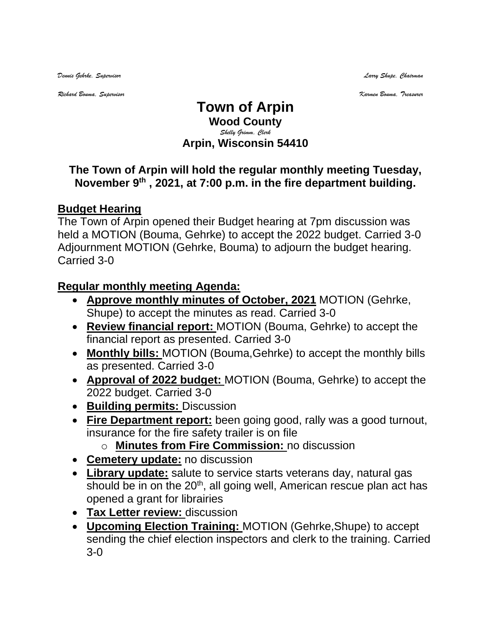*Dennis Gehrke, Supervisor Larry Shupe, Chairman* 

*Richard Bouma, Supervisor Karmen Bouma, Treasurer*

## **Town of Arpin Wood County** *Shelly Grimm, Clerk* **Arpin, Wisconsin 54410**

## **The Town of Arpin will hold the regular monthly meeting Tuesday, November 9 th , 2021, at 7:00 p.m. in the fire department building.**

## **Budget Hearing**

The Town of Arpin opened their Budget hearing at 7pm discussion was held a MOTION (Bouma, Gehrke) to accept the 2022 budget. Carried 3-0 Adjournment MOTION (Gehrke, Bouma) to adjourn the budget hearing. Carried 3-0

## **Regular monthly meeting Agenda:**

- **Approve monthly minutes of October, 2021** MOTION (Gehrke, Shupe) to accept the minutes as read. Carried 3-0
- **Review financial report:** MOTION (Bouma, Gehrke) to accept the financial report as presented. Carried 3-0
- **Monthly bills:** MOTION (Bouma,Gehrke) to accept the monthly bills as presented. Carried 3-0
- **Approval of 2022 budget:** MOTION (Bouma, Gehrke) to accept the 2022 budget. Carried 3-0
- **Building permits:** Discussion
- **Fire Department report:** been going good, rally was a good turnout, insurance for the fire safety trailer is on file
	- o **Minutes from Fire Commission:** no discussion
- **Cemetery update:** no discussion
- **Library update:** salute to service starts veterans day, natural gas should be in on the  $20<sup>th</sup>$ , all going well, American rescue plan act has opened a grant for librairies
- **Tax Letter review:** discussion
- **Upcoming Election Training:** MOTION (Gehrke,Shupe) to accept sending the chief election inspectors and clerk to the training. Carried 3-0